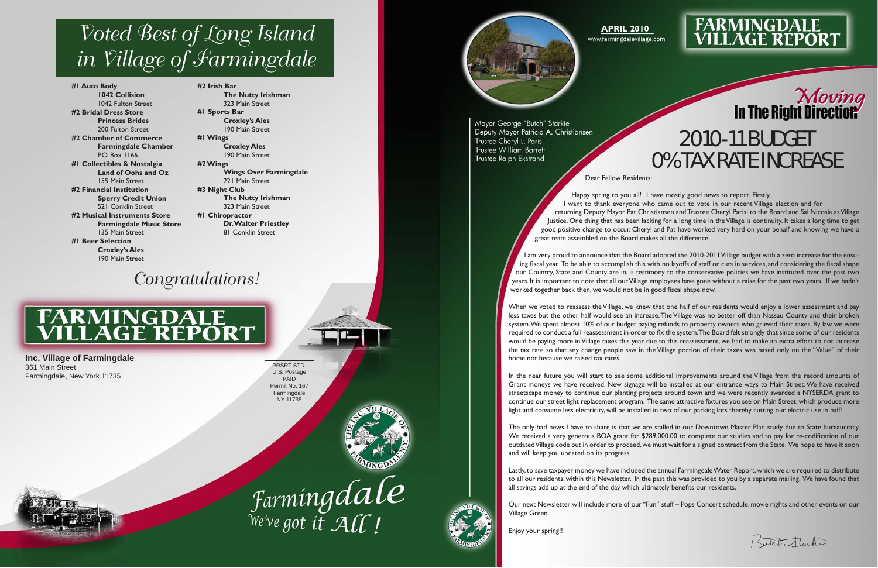Dear Fellow Residents:

Happy spring to you all! I have mostly good news to report. Firstly, I want to thank everyone who came out to vote in our recent Village election and for returning Deputy Mayor Pat Christiansen and Trustee Cheryl Parisi to the Board and Sal Nicosia as Village Justice. One thing that has been lacking for a long time in the Village is continuity. It takes a long time to get good positive change to occur. Cheryl and Pat have worked very hard on your behalf and knowing we have a great team assembled on the Board makes all the difference.

I am very proud to announce that the Board adopted the 2010-2011 Village budget with a zero increase for the ensu ing fiscal year. To be able to accomplish this with no layoffs of staff or cuts in services, and considering the fiscal shape our Country, State and County are in, is testimony to the conservative policies we have instituted over the past two years. It is important to note that all our Village employees have gone without a raise for the past two years. If we hadn't worked together back then, we would not be in good fiscal shape now.

When we voted to reassess the Village, we knew that one half of our residents would enjoy a lower assessment and pay less taxes but the other half would see an increase. The Village was no better off than Nassau County and their broken system. We spent almost 10% of our budget paying refunds to property owners who grieved their taxes. By law we were required to conduct a full reassessment in order to fix the system. The Board felt strongly that since some of our residents would be paying more in Village taxes this year due to this reassessment, we had to make an extra effort to not increase the tax rate so that any change people saw in the Village portion of their taxes was based only on the "Value" of their home not because we raised tax rates.

## Moving<br>In The Right Direction 2010-11 BUDGET 0% TAX RATE INCREASE

Kutch Hacker

In the near future you will start to see some additional improvements around the Village from the record amounts of Grant moneys we have received. New signage will be installed at our entrance ways to Main Street. We have received streetscape money to continue our planting projects around town and we were recently awarded a NYSERDA grant to continue our street light replacement program. The same attractive fixtures you see on Main Street, which produce more light and consume less electricity, will be installed in two of our parking lots thereby cutting our electric use in half!

The only bad news I have to share is that we are stalled in our Downtown Master Plan study due to State bureaucracy. We received a very generous BOA grant for \$289,000.00 to complete our studies and to pay for re-codification of our outdated Village code but in order to proceed, we must wait for a signed contract from the State. We hope to have it soon and will keep you updated on its progress.

Lastly, to save taxpayer money we have included the annual Farmingdale Water Report, which we are required to distribute to all our residents, within this Newsletter. In the past this was provided to you by a separate mailing. We have found that all savings add up at the end of the day which ultimately benefits our residents.

Our next Newsletter will include more of our "Fun" stuff – Pops Concert schedule, movie nights and other events on our Village Green.

Enjoy your spring!!

#### **APRIL 2010**

www.farmingdalevillage.com



# **FARMINGDALE<br>VILLAGE REPORT**

PRSRT STD. U.S. Postage PAID Permit No. 167 Farmingdale NY 11735







Mavor George "Butch" Starkie Deputy Mayor Patricia A. Christiansen Trustee Cheryl L. Parisi **Trustee William Barrett** Trustee Ralph Ekstrand

**Inc. Village of Farmingdale** 361 Main Street Farmingdale, New York 11735



**#1 Auto Body 1042 Collision** 1042 Fulton Street **#2 Bridal Dress Store Princess Brides** 200 Fulton Street **#2 Chamber of Commerce Farmingdale Chamber** P.O. Box 1166 **#1 Collectibles & Nostalgia Land of Oohs and Oz** 155 Main Street **#2 Financial Institution Sperry Credit Union** 521 Conklin Street **#2 Musical Instruments Store Farmingdale Music Store** 135 Main Street **#1 Beer Selection Croxley's Ales** 190 Main Street

**#2 Irish Bar The Nutty Irishman** 323 Main Street **#1 Sports Bar Croxley's Ales** 190 Main Street **#1 Wings Croxley Ales** 190 Main Street **#2 Wings Wings Over Farmingdale** 221 Main Street **#3 Night Club The Nutty Irishman** 323 Main Street **#1 Chiropractor Dr. Walter Priestley** 81 Conklin Street

### *Voted Best of Long Island in Village of Farmingdale*

### *Congratulations!*

# **FARMINGDALE<br>VILLAGE REPORT**